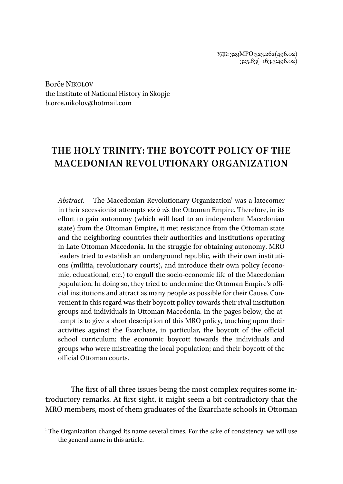УДК: 329МРО:323.262(496.02) 325.83(=163.3:496.02)

Borče NIKOLOV the Institute of National History in Skopje b.orce.nikolov@hotmail.com

 $\overline{a}$ 

## **THE HOLY TRINITY: THE BOYCOTT POLICY OF THE MACEDONIAN REVOLUTIONARY ORGANIZATION**

Abstract. - The Macedonian Revolutionary Organization<sup>1</sup> was a latecomer in their secessionist attempts *vis à vi*s the Ottoman Empire. Therefore, in its effort to gain autonomy (which will lead to an independent Macedonian state) from the Ottoman Empire, it met resistance from the Ottoman state and the neighboring countries their authorities and institutions operating in Late Ottoman Macedonia. In the struggle for obtaining autonomy, MRO leaders tried to establish an underground republic, with their own institutions (militia, revolutionary courts), and introduce their own policy (economic, educational, etc.) to engulf the socio-economic life of the Macedonian population. In doing so, they tried to undermine the Ottoman Empire's official institutions and attract as many people as possible for their Cause. Convenient in this regard was their boycott policy towards their rival institution groups and individuals in Ottoman Macedonia. In the pages below, the attempt is to give a short description of this MRO policy, touching upon their activities against the Exarchate, in particular, the boycott of the official school curriculum; the economic boycott towards the individuals and groups who were mistreating the local population; and their boycott of the official Ottoman courts.

The first of all three issues being the most complex requires some introductory remarks. At first sight, it might seem a bit contradictory that the MRO members, most of them graduates of the Exarchate schools in Ottoman

<sup>&</sup>lt;sup>1</sup> The Organization changed its name several times. For the sake of consistency, we will use the general name in this article.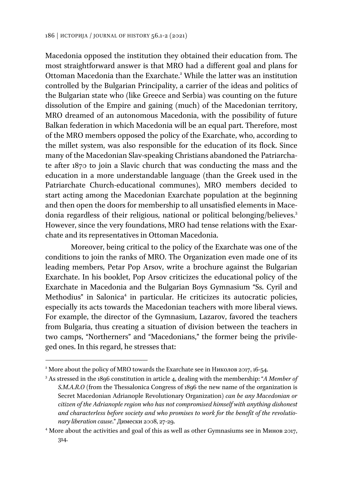Macedonia opposed the institution they obtained their education from. The most straightforward answer is that MRO had a different goal and plans for Ottoman Macedonia than the Exarchate.<sup>2</sup> While the latter was an institution controlled by the Bulgarian Principality, a carrier of the ideas and politics of the Bulgarian state who (like Greece and Serbia) was counting on the future dissolution of the Empire and gaining (much) of the Macedonian territory, MRO dreamed of an autonomous Macedonia, with the possibility of future Balkan federation in which Macedonia will be an equal part. Therefore, most of the MRO members opposed the policy of the Exarchate, who, according to the millet system, was also responsible for the education of its flock. Since many of the Macedonian Slav-speaking Christians abandoned the Patriarchate after 1870 to join a Slavic church that was conducting the mass and the education in a more understandable language (than the Greek used in the Patriarchate Church-educational communes), MRO members decided to start acting among the Macedonian Exarchate population at the beginning and then open the doors for membership to all unsatisfied elements in Macedonia regardless of their religious, national or political belonging/believes.<sup>3</sup> However, since the very foundations, MRO had tense relations with the Exarchate and its representatives in Ottoman Macedonia.

Moreover, being critical to the policy of the Exarchate was one of the conditions to join the ranks of MRO. The Organization even made one of its leading members, Petar Pop Arsov, write a brochure against the Bulgarian Exarchate. In his booklet, Pop Arsov criticizes the educational policy of the Exarchate in Macedonia and the Bulgarian Boys Gymnasium "Ss. Cyril and Methodius" in Salonica<sup>4</sup> in particular. He criticizes its autocratic policies, especially its acts towards the Macedonian teachers with more liberal views. For example, the director of the Gymnasium, Lazarov, favored the teachers from Bulgaria, thus creating a situation of division between the teachers in two camps, "Northerners" and "Macedonians," the former being the privileged ones. In this regard, he stresses that:

<sup>&</sup>lt;sup>2</sup> More about the policy of MRO towards the Exarchate see in Николов 2017, 16-54.<br><sup>3</sup> As stressed in the 1806 constitution in article 4, dealing with the membership: "4.

As stressed in the 1896 constitution in article 4, dealing with the membership: "*A Member of S.M.A.R.O (*from the Thessalonica Congress of 1896 the new name of the organization is Secret Macedonian Adrianople Revolutionary Organization) *can be any Macedonian or citizen of the Adrianople region who has not compromised himself with anything dishonest and characterless before society and who promises to work for the benefit of the revolutionary liberation cause*." Димески 2008, 27-29. 4

More about the activities and goal of this as well as other Gymnasiums see in Минов 2017, 314.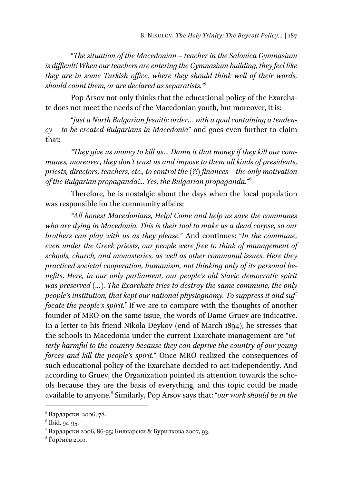"*The situation of the Macedonian – teacher in the Salonica Gymnasium is difficult! When our teachers are entering the Gymnasium building, they feel like they are in some Turkish office, where they should think well of their words, should count them, or are declared as separatists."5*

Pop Arsov not only thinks that the educational policy of the Exarchate does not meet the needs of the Macedonian youth, but moreover, it is:

"*just a North Bulgarian Jesuitic order… with a goal containing a tendency – to be created Bulgarians in Macedonia*" and goes even further to claim that:

*"They give us money to kill us… Damn it that money if they kill our communes, moreover, they don't trust us and impose to them all kinds of presidents, priests, directors, teachers, etc., to control the (?!) finances – the only motivation of the Bulgarian propaganda!... Yes, the Bulgarian propaganda.*" 6

Therefore, he is nostalgic about the days when the local population was responsible for the community affairs:

*"All honest Macedonians, Help! Come and help us save the communes who are dying in Macedonia. This is their tool to make us a dead corpse, so our brothers can play with us as they please.*" And continues: "*In the commune, even under the Greek priests, our people were free to think of management of schools, church, and monasteries, as well as other communal issues. Here they practiced societal cooperation, humanism, not thinking only of its personal benefits*. *Here, in our only parliament, our people's old Slavic democratic spirit was preserved (…). The Exarchate tries to destroy the same commune, the only people's institution, that kept our national physiognomy. To suppress it and suf*focate the people's spirit.<sup>7</sup> If we are to compare with the thoughts of another founder of MRO on the same issue, the words of Dame Gruev are indicative. In a letter to his friend Nikola Deykov (end of March 1894), he stresses that the schools in Macedonia under the current Exarchate management are "*utterly harmful to the country because they can deprive the country of our young forces and kill the people's spirit*." Once MRO realized the consequences of such educational policy of the Exarchate decided to act independently. And according to Gruev, the Organization pointed its attention towards the schools because they are the basis of everything, and this topic could be made available to anyone.<sup>8</sup> Similarly, Pop Arsov says that: "*our work should be in the* 

<sup>5</sup> Вардарски 2006, 78.

<sup>6</sup> Ibid, 94-95.

<sup>&</sup>lt;sup>7</sup> Вардарски 2006, 86-95; Биляарски & Бурилкова 2007, 93.<br><sup>8</sup> Ѓорѓиор 2010

 $8$ Ѓорѓиев 2010.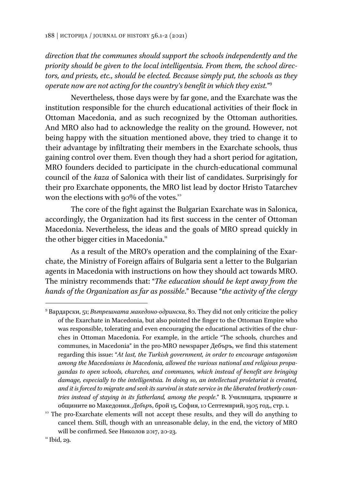*direction that the communes should support the schools independently and the priority should be given to the local intelligentsia. From them, the school directors, and priests, etc., should be elected. Because simply put, the schools as they operate now are not acting for the country's benefit in which they exist.*" 9

Nevertheless, those days were by far gone, and the Exarchate was the institution responsible for the church educational activities of their flock in Ottoman Macedonia, and as such recognized by the Ottoman authorities. And MRO also had to acknowledge the reality on the ground. However, not being happy with the situation mentioned above, they tried to change it to their advantage by infiltrating their members in the Exarchate schools, thus gaining control over them. Even though they had a short period for agitation, MRO founders decided to participate in the church-educational communal council of the *kaza* of Salonica with their list of candidates. Surprisingly for their pro Exarchate opponents, the MRO list lead by doctor Hristo Tatarchev won the elections with 90% of the votes.<sup>10</sup>

The core of the fight against the Bulgarian Exarchate was in Salonica, accordingly, the Organization had its first success in the center of Ottoman Macedonia. Nevertheless, the ideas and the goals of MRO spread quickly in the other bigger cities in Macedonia.<sup>11</sup>

As a result of the MRO's operation and the complaining of the Exarchate, the Ministry of Foreign affairs of Bulgaria sent a letter to the Bulgarian agents in Macedonia with instructions on how they should act towards MRO. The ministry recommends that: "*The education should be kept away from the hands of the Organization as far as possible*." Because "*the activity of the clergy* 

<sup>9</sup> Вардарски, 51; *Вътрешната македоно-одринска*, 80. They did not only criticize the policy of the Exarchate in Macedonia, but also pointed the finger to the Ottoman Empire who was responsible, tolerating and even encouraging the educational activities of the churches in Ottoman Macedonia. For example, in the article "The schools, churches and communes, in Macedonia" in the pro-MRO newspaper Дебъръ, we find this statement regarding this issue: "*At last, the Turkish government, in order to encourage antagonism among the Macedonians in Macedonia, allowed the various national and religious propagandas to open schools, churches, and communes, which instead of benefit are bringing damage, especially to the intelligentsia. In doing so, an intellectual proletariat is created, and it is forced to migrate and seek its survival in state service in the liberated brotherly countries instead of staying in its fatherland, among the people*." В. Училищата, църквите и общините во Македония. *Дебъръ*, брой 15, София, 10 Септемврий, 1905 год., стр. 1. 10 The pro-Exarchate elements will not accept these results, and they will do anything to

cancel them. Still, though with an unreasonable delay, in the end, the victory of MRO will be confirmed. See Николов 2017, 20-23.<br> $\frac{n}{1}$ Ibid, 29.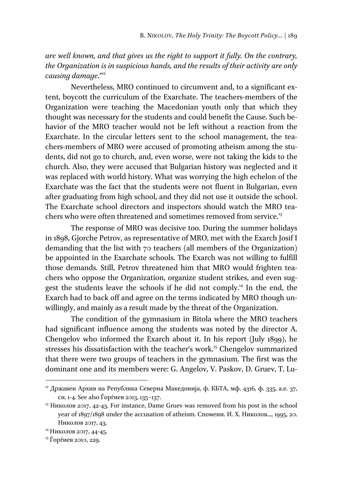*are well known, and that gives us the right to support it fully. On the contrary, the Organization is in suspicious hands, and the results of their activity are only*  causing damage."<sup>12</sup>

Nevertheless, MRO continued to circumvent and, to a significant extent, boycott the curriculum of the Exarchate. The teachers-members of the Organization were teaching the Macedonian youth only that which they thought was necessary for the students and could benefit the Cause. Such behavior of the MRO teacher would not be left without a reaction from the Exarchate. In the circular letters sent to the school management, the teachers-members of MRO were accused of promoting atheism among the students, did not go to church, and, even worse, were not taking the kids to the church. Also, they were accused that Bulgarian history was neglected and it was replaced with world history. What was worrying the high echelon of the Exarchate was the fact that the students were not fluent in Bulgarian, even after graduating from high school, and they did not use it outside the school. The Exarchate school directors and inspectors should watch the MRO teachers who were often threatened and sometimes removed from service.<sup>13</sup>

The response of MRO was decisive too. During the summer holidays in 1898, Gjorche Petrov, as representative of MRO, met with the Exarch Josif I demanding that the list with 70 teachers (all members of the Organization) be appointed in the Exarchate schools. The Exarch was not willing to fulfill those demands. Still, Petrov threatened him that MRO would frighten teachers who oppose the Organization, organize student strikes, and even suggest the students leave the schools if he did not comply.14 In the end, the Exarch had to back off and agree on the terms indicated by MRO though unwillingly, and mainly as a result made by the threat of the Organization.

The condition of the gymnasium in Bitola where the MRO teachers had significant influence among the students was noted by the director A. Chengelov who informed the Exarch about it. In his report (July 1899), he stresses his dissatisfaction with the teacher's work.<sup>15</sup> Chengelov summarized that there were two groups of teachers in the gymnasium. The first was the dominant one and its members were: G. Angelov, V. Paskov, D. Gruev, T. Lu-

<sup>&</sup>lt;sup>12</sup> Државен Архив на Република Северна Македонија, ф. КБТА, мф. 4316, ф. 335, а.е. 37, сн. 1-4. See also Ѓорѓиев 2013, 135–137.<br><sup>13</sup> Николов 2017, 42-43. For instance, Dame Gruev was removed from his post in the school

year of 1897/1898 under the accusation of atheism. Спомени. И. Х. Николов..., 1995, 20. Николов 2017, 43. 14 Николов 2017, 44-45.

<sup>15</sup> Ѓорѓиев 2010, 229.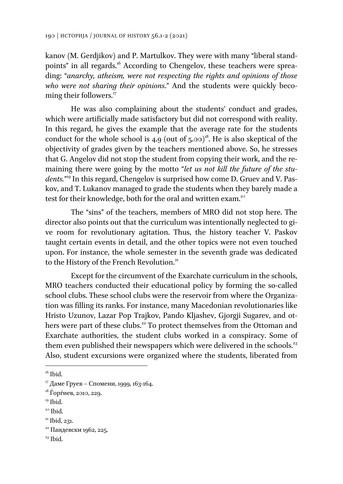kanov (M. Gerdjikov) and P. Martulkov. They were with many "liberal standpoints" in all regards.<sup>16</sup> According to Chengelov, these teachers were spreading: "*anarchy, atheism, were not respecting the rights and opinions of those who were not sharing their opinions*." And the students were quickly becoming their followers.<sup>17</sup>

He was also complaining about the students' conduct and grades, which were artificially made satisfactory but did not correspond with reality. In this regard, he gives the example that the average rate for the students conduct for the whole school is 4.9 (out of  $5.00$ <sup>18</sup>. He is also skeptical of the objectivity of grades given by the teachers mentioned above. So, he stresses that G. Angelov did not stop the student from copying their work, and the remaining there were going by the motto "*let us not kill the future of the students.*" 19 In this regard, Chengelov is surprised how come D. Gruev and V. Paskov, and T. Lukanov managed to grade the students when they barely made a test for their knowledge, both for the oral and written exam.<sup>20</sup>

The "sins" of the teachers, members of MRO did not stop here. The director also points out that the curriculum was intentionally neglected to give room for revolutionary agitation. Thus, the history teacher V. Paskov taught certain events in detail, and the other topics were not even touched upon. For instance, the whole semester in the seventh grade was dedicated to the History of the French Revolution.<sup>21</sup>

Except for the circumvent of the Exarchate curriculum in the schools, MRO teachers conducted their educational policy by forming the so-called school clubs. These school clubs were the reservoir from where the Organization was filling its ranks. For instance, many Macedonian revolutionaries like Hristo Uzunov, Lazar Pop Trajkov, Pando Kljashev, Gjorgji Sugarev, and others were part of these clubs.<sup>22</sup> To protect themselves from the Ottoman and Exarchate authorities, the student clubs worked in a conspiracy. Some of them even published their newspapers which were delivered in the schools.<sup>23</sup> Also, student excursions were organized where the students, liberated from

 $\overline{a}$ 

- <sup>19</sup> Ibid.
- $20$  Ibid.

 $23$  Ibid.

 $16$  Ibid.

<sup>&</sup>lt;sup>17</sup> Даме Груев – Спомени, 1999, 163-164.

<sup>18</sup> Ѓорѓиев, 2010, 229.

<sup>&</sup>lt;sup>21</sup> Ibid, 231.

<sup>22</sup> Пандевски 1962, 225.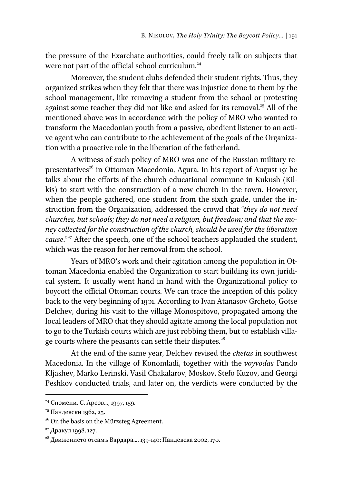the pressure of the Exarchate authorities, could freely talk on subjects that were not part of the official school curriculum.<sup>24</sup>

Moreover, the student clubs defended their student rights. Thus, they organized strikes when they felt that there was injustice done to them by the school management, like removing a student from the school or protesting against some teacher they did not like and asked for its removal.<sup>25</sup> All of the mentioned above was in accordance with the policy of MRO who wanted to transform the Macedonian youth from a passive, obedient listener to an active agent who can contribute to the achievement of the goals of the Organization with a proactive role in the liberation of the fatherland.

A witness of such policy of MRO was one of the Russian military representatives<sup>26</sup> in Ottoman Macedonia, Agura. In his report of August 19' he talks about the efforts of the church educational commune in Kukush (Kilkis) to start with the construction of a new church in the town. However, when the people gathered, one student from the sixth grade, under the instruction from the Organization, addressed the crowd that "*they do not need churches, but schools; they do not need a religion, but freedom; and that the money collected for the construction of the church, should be used for the liberation cause*."<sup>27</sup> After the speech, one of the school teachers applauded the student, which was the reason for her removal from the school.

Years of MRO's work and their agitation among the population in Ottoman Macedonia enabled the Organization to start building its own juridical system. It usually went hand in hand with the Organizational policy to boycott the official Ottoman courts. We can trace the inception of this policy back to the very beginning of 1901. According to Ivan Atanasov Grcheto, Gotse Delchev, during his visit to the village Monospitovo, propagated among the local leaders of MRO that they should agitate among the local population not to go to the Turkish courts which are just robbing them, but to establish village courts where the peasants can settle their disputes.<sup>28</sup>

At the end of the same year, Delchev revised the *chetas* in southwest Macedonia. In the village of Konomladi, together with the *voyvodas* Pando Kljashev, Marko Lerinski, Vasil Chakalarov, Moskov, Stefo Kuzov, and Georgi Peshkov conducted trials, and later on, the verdicts were conducted by the

<sup>&</sup>lt;sup>24</sup> Спомени. С. Арсов..., 1997, 159.

<sup>25</sup> Пандевски 1962, 25.

 $^{26}$  On the basis on the Mürzsteg Agreement.

<sup>&</sup>lt;sup>27</sup> Дракул 1998, 127.

 $^{28}$  Движението отсамъ Вардара..., 139-140; Пандевска 2002, 170.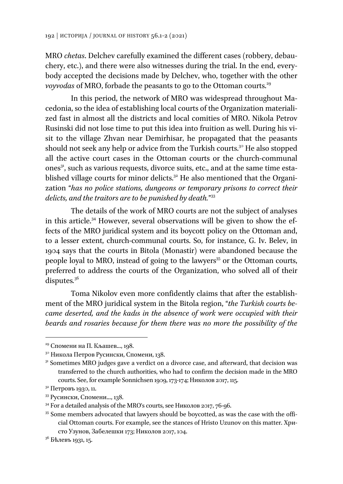MRO *chetas*. Delchev carefully examined the different cases (robbery, debauchery, etc.), and there were also witnesses during the trial. In the end, everybody accepted the decisions made by Delchev, who, together with the other *voyvodas* of MRO, forbade the peasants to go to the Ottoman courts.<sup>29</sup>

In this period, the network of MRO was widespread throughout Macedonia, so the idea of establishing local courts of the Organization materialized fast in almost all the districts and local comities of MRO. Nikola Petrov Rusinski did not lose time to put this idea into fruition as well. During his visit to the village Zhvan near Demirhisar, he propagated that the peasants should not seek any help or advice from the Turkish courts.<sup>30</sup> He also stopped all the active court cases in the Ottoman courts or the church-communal ones<sup>31</sup>, such as various requests, divorce suits, etc., and at the same time established village courts for minor delicts.<sup>32</sup> He also mentioned that the Organization "*has no police stations, dungeons or temporary prisons to correct their delicts, and the traitors are to be punished by death.*" 33

The details of the work of MRO courts are not the subject of analyses in this article.34 However, several observations will be given to show the effects of the MRO juridical system and its boycott policy on the Ottoman and, to a lesser extent, church-communal courts. So, for instance, G. Iv. Belev, in 1904 says that the courts in Bitola (Monastir) were abandoned because the people loyal to MRO, instead of going to the lawyers<sup>35</sup> or the Ottoman courts, preferred to address the courts of the Organization, who solved all of their disputes*.* 36

Toma Nikolov even more confidently claims that after the establishment of the MRO juridical system in the Bitola region, "*the Turkish courts became deserted, and the kadıs in the absence of work were occupied with their beards and rosaries because for them there was no more the possibility of the* 

 $29$  Спомени на П. Кљашев..., 198.

<sup>30</sup> Никола Петров Русински, Спомени, 138.

<sup>&</sup>lt;sup>31</sup> Sometimes MRO judges gave a verdict on a divorce case, and afterward, that decision was transferred to the church authorities, who had to confirm the decision made in the MRO courts. See, for example Sonnichsen 1909, 173-174; Николов 2017, 115.  $\frac{32}{3}$  Петровъ 1930, 11.

<sup>33</sup> Русински, Спомени..., 138.

 $34$  For a detailed analysis of the MRO's courts, see Николов 2017, 76-96.<br><sup>35</sup> Some members advocated that lawyers should be boycotted, as was the case with the official Ottoman courts. For example, see the stances of Hristo Uzunov on this matter. Христо Узунов, Забелешки 173; Николов 2017, 104.

<sup>36</sup> Бѣлевъ 1931, 15.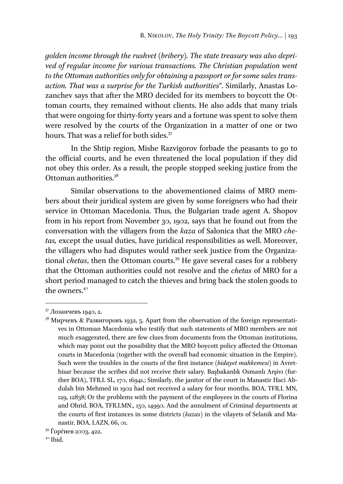*golden income through the rushvet (bribery). The state treasury was also deprived of regular income for various transactions. The Christian population went to the Ottoman authorities only for obtaining a passport or for some sales transaction. That was a surprise for the Turkish authorities*". Similarly, Anastas Lozanchev says that after the MRO decided for its members to boycott the Ottoman courts, they remained without clients. He also adds that many trials that were ongoing for thirty-forty years and a fortune was spent to solve them were resolved by the courts of the Organization in a matter of one or two hours. That was a relief for both sides.<sup>37</sup>

In the Shtip region, Mishe Razvigorov forbade the peasants to go to the official courts, and he even threatened the local population if they did not obey this order. As a result, the people stopped seeking justice from the Ottoman authorities.<sup>38</sup>

Similar observations to the abovementioned claims of MRO members about their juridical system are given by some foreigners who had their service in Ottoman Macedonia. Thus, the Bulgarian trade agent A. Shopov from in his report from November 30, 1902, says that he found out from the conversation with the villagers from the *kaza* of Salonica that the MRO *chetas,* except the usual duties, have juridical responsibilities as well. Moreover, the villagers who had disputes would rather seek justice from the Organizational *chetas*, then the Ottoman courts.<sup>39</sup> He gave several cases for a robbery that the Ottoman authorities could not resolve and the *chetas* of MRO for a short period managed to catch the thieves and bring back the stolen goods to the owners.<sup>40</sup>

<sup>37</sup> Лозанчевъ 1940, 2.

<sup>&</sup>lt;sup>38</sup> Мирчевъ & Развигоровъ 1932, 5. Apart from the observation of the foreign representatives in Ottoman Macedonia who testify that such statements of MRO members are not much exaggerated, there are few clues from documents from the Ottoman institutions, which may point out the possibility that the MRO boycott policy affected the Ottoman courts in Macedonia (together with the overall bad economic situation in the Empire). Such were the troubles in the courts of the first instance (*bidayet mahkemesi*) in Avrethisar because the scribes did not receive their salary. Başbakanlık Osmanlı Arşivı (further BOA), TFR.I. SL, 170, 16941.; Similarly, the janitor of the court in Manastir Haci Abdulah bin Mehmed in 1902 had not received a salary for four months. BOA, TFR.I. MN, 129, 12838; Or the problems with the payment of the employees in the courts of Florina and Ohrid. BOA, TFR.I.MN., 150, 14990. And the annulment of Criminal departments at the courts of first instances in some districts (*kazas*) in the vilayets of Selanik and Manastir. BOA. I.AZN, 66, 01.<br><sup>39</sup> Ѓорѓиев 2003, 422.

 $40$  Ibid.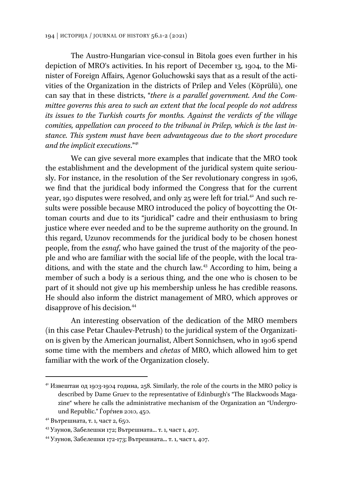The Austro-Hungarian vice-consul in Bitola goes even further in his depiction of MRO's activities. In his report of December 13, 1904, to the Minister of Foreign Affairs, Agenor Goluchowski says that as a result of the activities of the Organization in the districts of Prilep and Veles (Köprülü), one can say that in these districts, "*there is a parallel government. And the Committee governs this area to such an extent that the local people do not address its issues to the Turkish courts for months. Against the verdicts of the village comities, appellation can proceed to the tribunal in Prilep, which is the last instance. This system must have been advantageous due to the short procedure and the implicit executions*."<sup>41</sup>

We can give several more examples that indicate that the MRO took the establishment and the development of the juridical system quite seriously. For instance, in the resolution of the Ser revolutionary congress in 1906, we find that the juridical body informed the Congress that for the current year, 190 disputes were resolved, and only 25 were left for trial.<sup>42</sup> And such results were possible because MRO introduced the policy of boycotting the Ottoman courts and due to its "juridical" cadre and their enthusiasm to bring justice where ever needed and to be the supreme authority on the ground. In this regard, Uzunov recommends for the juridical body to be chosen honest people, from the *esnaf*, who have gained the trust of the majority of the people and who are familiar with the social life of the people, with the local traditions, and with the state and the church law*.* 43 According to him, being a member of such a body is a serious thing, and the one who is chosen to be part of it should not give up his membership unless he has credible reasons. He should also inform the district management of MRO, which approves or disapprove of his decision*.* 44

An interesting observation of the dedication of the MRO members (in this case Petar Chaulev-Petrush) to the juridical system of the Organization is given by the American journalist, Albert Sonnichsen, who in 1906 spend some time with the members and *chetas* of MRO, which allowed him to get familiar with the work of the Organization closely.

<sup>&</sup>lt;sup>41</sup> Извештаи од 1903-1904 година, 258. Similarly, the role of the courts in the MRO policy is described by Dame Gruev to the representative of Edinburgh's "The Blackwoods Magazine" where he calls the administrative mechanism of the Organization an "Underground Republic." Ѓорѓиев 2010, 450.<br><sup>42</sup> Вътрешната, т. 1, част 2, 650.

<sup>&</sup>lt;sup>43</sup> Узунов, Забелешки 172; Вътрешната... т. 1, част 1, 407.<br><sup>44</sup> Узунов, Забелешки 172-173; Вътрешната... т. 1, част 1, 407.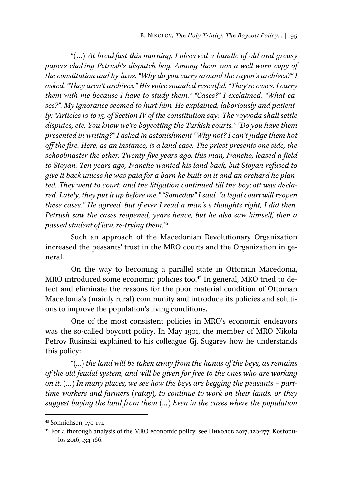"(…) *At breakfast this morning, I observed a bundle of old and greasy papers choking Petrush's dispatch bag. Among them was a well-worn copy of the constitution and by-laws.* "*Why do you carry around the rayon's archives?" I asked. "They aren't archives." His voice sounded resentful. "They're cases. I carry them with me because I have to study them." "Cases?" I exclaimed. "What cases?". My ignorance seemed to hurt him. He explained, laboriously and patiently: "Articles 10 to 15, of Section IV of the constitution say: 'The voyvoda shall settle disputes, etc. You know we're boycotting the Turkish courts." "Do you have them presented in writing?" I asked in astonishment "Why not? I can't judge them hot off the fire. Here, as an instance, is a land case. The priest presents one side, the schoolmaster the other. Twenty-five years ago, this man, Ivancho, leased a field to Stoyan. Ten years ago, Ivancho wanted his land back, but Stoyan refused to give it back unless he was paid for a barn he built on it and an orchard he planted. They went to court, and the litigation continued till the boycott was declared. Lately, they put it up before me." "Someday" I said, "a legal court will reopen these cases." He agreed, but if ever I read a man's s thoughts right, I did then. Petrush saw the cases reopened, years hence, but he also saw himself, then a passed student of law, re-trying them*. 45

Such an approach of the Macedonian Revolutionary Organization increased the peasants' trust in the MRO courts and the Organization in general.

On the way to becoming a parallel state in Ottoman Macedonia, MRO introduced some economic policies too.<sup>46</sup> In general, MRO tried to detect and eliminate the reasons for the poor material condition of Ottoman Macedonia's (mainly rural) community and introduce its policies and solutions to improve the population's living conditions.

One of the most consistent policies in MRO's economic endeavors was the so-called boycott policy. In May 1901, the member of MRO Nikola Petrov Rusinski explained to his colleague Gj. Sugarev how he understands this policy:

"*(...) the land will be taken away from the hands of the beys, as remains of the old feudal system, and will be given for free to the ones who are working on it. (…) In many places, we see how the beys are begging the peasants – parttime workers and farmers (ratay), to continue to work on their lands, or they suggest buying the land from them (…) Even in the cases where the population* 

<sup>45</sup> Sonnichsen, 170-171.

<sup>&</sup>lt;sup>46</sup> For a thorough analysis of the MRO economic policy, see Николов 2017, 120-177; Kostopulos 2016, 134-166.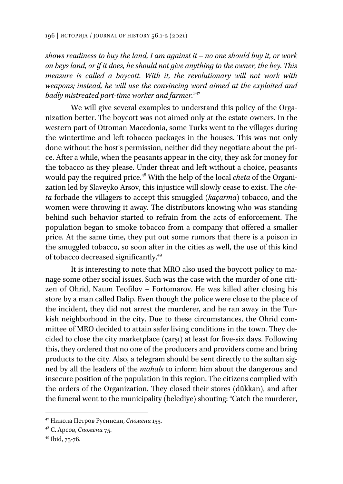*shows readiness to buy the land, I am against it – no one should buy it, or work on beys land, or if it does, he should not give anything to the owner, the bey. This measure is called a boycott. With it, the revolutionary will not work with weapons; instead, he will use the convincing word aimed at the exploited and badly mistreated part-time worker and farmer.*" 47

We will give several examples to understand this policy of the Organization better. The boycott was not aimed only at the estate owners. In the western part of Ottoman Macedonia, some Turks went to the villages during the wintertime and left tobacco packages in the houses. This was not only done without the host's permission, neither did they negotiate about the price. After a while, when the peasants appear in the city, they ask for money for the tobacco as they please. Under threat and left without a choice, peasants would pay the required price.48 With the help of the local *cheta* of the Organization led by Slaveyko Arsov, this injustice will slowly cease to exist. The *cheta* forbade the villagers to accept this smuggled (*kaçarma*) tobacco, and the women were throwing it away. The distributors knowing who was standing behind such behavior started to refrain from the acts of enforcement. The population began to smoke tobacco from a company that offered a smaller price. At the same time, they put out some rumors that there is a poison in the smuggled tobacco, so soon after in the cities as well, the use of this kind of tobacco decreased significantly.49

It is interesting to note that MRO also used the boycott policy to manage some other social issues. Such was the case with the murder of one citizen of Ohrid, Naum Teofilov – Fortomarov. He was killed after closing his store by a man called Dalip. Even though the police were close to the place of the incident, they did not arrest the murderer, and he ran away in the Turkish neighborhood in the city. Due to these circumstances, the Ohrid committee of MRO decided to attain safer living conditions in the town. They decided to close the city marketplace (çarşı) at least for five-six days. Following this, they ordered that no one of the producers and providers come and bring products to the city. Also, a telegram should be sent directly to the sultan signed by all the leaders of the *mahals* to inform him about the dangerous and insecure position of the population in this region. The citizens complied with the orders of the Organization. They closed their stores (dükkan), and after the funeral went to the municipality (belediye) shouting: "Catch the murderer,

<sup>47</sup> Никола Петров Русински, *Спомени* 155.

<sup>&</sup>lt;sup>48</sup> С. Арсов, *Спомени* 75.<br><sup>49</sup> Ibid, 75-76.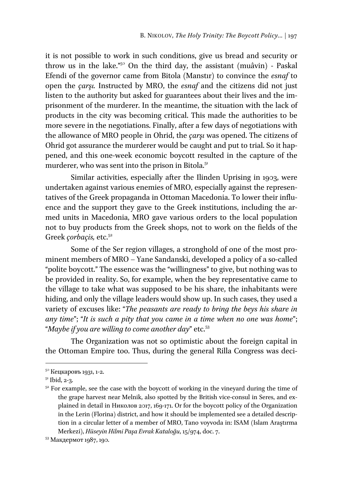it is not possible to work in such conditions, give us bread and security or throw us in the lake."50 On the third day, the assistant (muâvin) - Paskal Efendi of the governor came from Bitola (Manstır) to convince the *esnaf* to open the *çarşı.* Instructed by MRO, the *esnaf* and the citizens did not just listen to the authority but asked for guarantees about their lives and the imprisonment of the murderer. In the meantime, the situation with the lack of products in the city was becoming critical. This made the authorities to be more severe in the negotiations. Finally, after a few days of negotiations with the allowance of MRO people in Ohrid, the *çarşı* was opened. The citizens of Ohrid got assurance the murderer would be caught and put to trial. So it happened, and this one-week economic boycott resulted in the capture of the murderer, who was sent into the prison in Bitola.<sup>51</sup>

Similar activities, especially after the Ilinden Uprising in 1903, were undertaken against various enemies of MRO, especially against the representatives of the Greek propaganda in Ottoman Macedonia. To lower their influence and the support they gave to the Greek institutions, including the armed units in Macedonia, MRO gave various orders to the local population not to buy products from the Greek shops, not to work on the fields of the Greek *çorbaçis*, etc.<sup>52</sup>

Some of the Ser region villages, a stronghold of one of the most prominent members of MRO – Yane Sandanski, developed a policy of a so-called "polite boycott." The essence was the "willingness" to give, but nothing was to be provided in reality. So, for example, when the bey representative came to the village to take what was supposed to be his share, the inhabitants were hiding, and only the village leaders would show up. In such cases, they used a variety of excuses like: "*The peasants are ready to bring the beys his share in any time*"; "*It is such a pity that you came in a time when no one was home*"; "Maybe if you are willing to come another day" etc.<sup>53</sup>

The Organization was not so optimistic about the foreign capital in the Ottoman Empire too. Thus, during the general Rilla Congress was deci-

<sup>50</sup> Кецкаровъ 1931, 1-2.

<sup>51</sup> Ibid, 2-3.

 $52$  For example, see the case with the boycott of working in the vineyard during the time of the grape harvest near Melnik, also spotted by the British vice-consul in Seres, and explained in detail in Николов 2017, 169-171. Or for the boycott policy of the Organization in the Lerin (Florina) district, and how it should be implemented see a detailed description in a circular letter of а member of MRO, Tano voyvoda in: ISAM (Islam Araştırma Merkezi), *Hüseyin Hilmi Paşa Evrak Kataloğu*, 15/974, doc. 7. 53 Макдермот 1987, 190.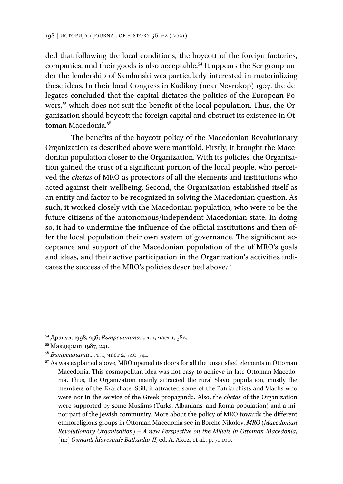ded that following the local conditions, the boycott of the foreign factories, companies, and their goods is also acceptable.<sup>54</sup> It appears the Ser group under the leadership of Sandanski was particularly interested in materializing these ideas. In their local Congress in Kadikoy (near Nevrokop) 1907, the delegates concluded that the capital dictates the politics of the European Powers,55 which does not suit the benefit of the local population. Thus, the Organization should boycott the foreign capital and obstruct its existence in Ottoman Macedonia.<sup>56</sup>

The benefits of the boycott policy of the Macedonian Revolutionary Organization as described above were manifold. Firstly, it brought the Macedonian population closer to the Organization. With its policies, the Organization gained the trust of a significant portion of the local people, who perceived the *chetas* of MRO as protectors of all the elements and institutions who acted against their wellbeing. Second, the Organization established itself as an entity and factor to be recognized in solving the Macedonian question. As such, it worked closely with the Macedonian population, who were to be the future citizens of the autonomous/independent Macedonian state. In doing so, it had to undermine the influence of the official institutions and then offer the local population their own system of governance. The significant acceptance and support of the Macedonian population of the of MRO's goals and ideas, and their active participation in the Organization's activities indicates the success of the MRO's policies described above.<sup>57</sup>

<sup>&</sup>lt;sup>54</sup> Дракул, 1998, 256; *Вътрешната*..., т. 1, част 1, 582.<br><sup>55</sup> Макдермот 1987, 241.

<sup>&</sup>lt;sup>56</sup> *Вътрешната*..., т. 1, част 2, 740-741.<br><sup>57</sup> As was explained above, MRO opened its doors for all the unsatisfied elements in Ottoman Macedonia. This cosmopolitan idea was not easy to achieve in late Ottoman Macedonia. Thus, the Organization mainly attracted the rural Slavic population, mostly the members of the Exarchate. Still, it attracted some of the Patriarchists and Vlachs who were not in the service of the Greek propaganda. Also, the *chetas* of the Organization were supported by some Muslims (Turks, Albanians, and Roma population) and a minor part of the Jewish community. More about the policy of MRO towards the different ethnoreligious groups in Ottoman Macedonia see in Borche Nikolov, *MRO (Macedonian Revolutionary Organization) – A new Perspective on the Millets in Ottoman Macedonia*, [in:] *Osmanlı İdaresinde Balkanlar II*, ed. A. Aköz, et al., p. 71-100.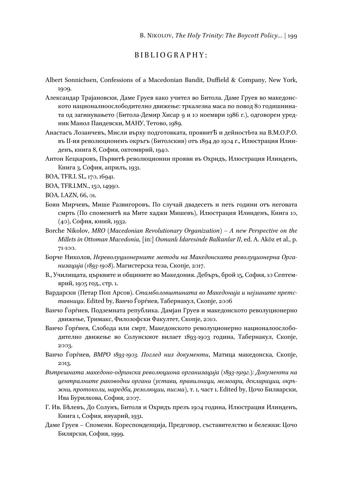## BIBLIOGRAPHY:

- Albert Sonnichsen, Confessions of a Macedonian Bandit, Duffield & Company, New York, 1909.
- Александар Трајановски, Даме Груев како учител во Битола. Даме Груев во македонското националноослободително движење: тркалезна маса по повод 80 годишнината од загинувањето (Битола-Демир Хисар 9 и 10 ноември 1986 г.), одговорен уредник Манол Пандевски, МАНУ, Тетово, 1989.
- Анастасъ Лозанчевъ, Мисли върху подготовката, проявитѢ и дейностЬта на В.М.О.Р.О. въ II-ия революционенъ окръгъ (Битолския) отъ 1894 до 1904 г., Илюстрация Илинденъ, книга 8, София, октомврий, 1940.
- Антон Кецкаровъ, Първитѣ революционни прояви въ Охридъ, Илюстрация Илинденъ, Книга 3, София, априлъ, 1931.

BOA, TFR.I. SL, 170, 16941.

- BOA, TFR.I.MN., 150, 14990.
- BOA. I.AZN, 66, 01.
- Боян Мирчевъ, Мише Развигоровъ. По случай двадесеть и петь години отъ неговата смрть (По споменитѣ на Мите хаджи Мишевъ), Илюстрация Илинденъ, Книга 10, (40), София, юний, 1932.
- Borche Nikolov, *MRO (Macedonian Revolutionary Organization) A new Perspective on the Millets in Ottoman Macedonia*, [in:] *Osmanlı İdaresinde Balkanlar II*, ed. A. Aköz et al., p. 71-100.
- Борче Николов, *Нереволуционерните методи на Македонската револуционерна Организација (1893-1908)*. Mагистерска теза, Скопје, 2017.
- В., Училищата, църквите и общините во Македония. Дебъръ, брой 15, София, 10 Септемврий, 1905 год., стр. 1.
- Вардарски (Петар Поп Арсов). *Стамболовштината во Македонија и нејзините претставници*. Edited by, Ванчо Ѓорѓиев, Табернакул, Скопје, 2006
- Ванчо Ѓорѓиев, Подземната република. Дамјан Груев и македонското револуционерно движење, Тримакс, Филозофски Факултет, Скопје, 2010.
- Ванчо Ѓорѓиев, Слобода или смрт, Македонското револуционерно националоослободително движење во Солунскиот вилает 1893-1903 година, Табернакул, Скопје, 2003.
- Ванчо Ѓорѓиев, *ВМРО 1893-1903. Поглед низ документи*, Матица македонска, Скопје, 2013.
- *Вътрешната македоно-одринска революциона организација (1893-1919г.): Документи на централните раководни органи (устави, правилници, мемоари, декларации, окръжни, протоколи, наредби, резолюции, писма)*, т. 1, част 1. Edited by, Цочо Биляарски, Ива Бурилкова, София, 2007.
- Г. Ив. Бѣлевъ, До Солунъ, Битоля и Охридъ презъ 1904 година, Илюстрация Илинденъ, Книга 1, София, януарий, 1931.
- Даме Груев Спомени. Кореспонденција, Предговор, съставителство и бележки: Цочо Билярски, София, 1999.